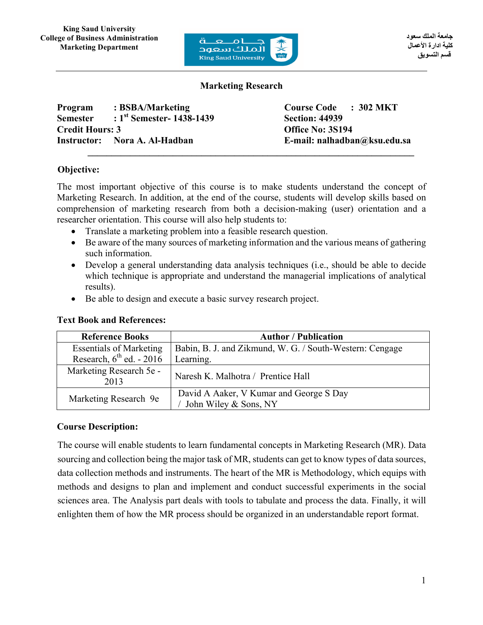

### **Marketing Research**

**Program : BSBA/Marketing Course Code : 302 MKT Semester : 1st Semester- 1438-1439 Section: 44939 Credit Hours: 3 Office No: 3S194 Instructor: Nora A. Al-Hadban E-mail: nalhadban@ksu.edu.sa**  $\mathcal{L} = \{ \mathcal{L} \mathcal{L} \mathcal{L} \mathcal{L} \mathcal{L} \mathcal{L} \mathcal{L} \mathcal{L} \mathcal{L} \mathcal{L} \mathcal{L} \mathcal{L} \mathcal{L} \mathcal{L} \mathcal{L} \mathcal{L} \mathcal{L} \mathcal{L} \mathcal{L} \mathcal{L} \mathcal{L} \mathcal{L} \mathcal{L} \mathcal{L} \mathcal{L} \mathcal{L} \mathcal{L} \mathcal{L} \mathcal{L} \mathcal{L} \mathcal{L} \mathcal{L} \mathcal{L} \mathcal{L} \mathcal{L} \$ 

# **Objective:**

The most important objective of this course is to make students understand the concept of Marketing Research. In addition, at the end of the course, students will develop skills based on comprehension of marketing research from both a decision-making (user) orientation and a researcher orientation. This course will also help students to:

- Translate a marketing problem into a feasible research question.
- Be aware of the many sources of marketing information and the various means of gathering such information.
- Develop a general understanding data analysis techniques (i.e., should be able to decide which technique is appropriate and understand the managerial implications of analytical results).
- Be able to design and execute a basic survey research project.

| <b>Reference Books</b>               | <b>Author</b> / Publication                                      |
|--------------------------------------|------------------------------------------------------------------|
| <b>Essentials of Marketing</b>       | Babin, B. J. and Zikmund, W. G. / South-Western: Cengage         |
| Research, $6^{\text{th}}$ ed. - 2016 | Learning.                                                        |
| Marketing Research 5e -<br>2013      | Naresh K. Malhotra / Prentice Hall                               |
| Marketing Research 9e                | David A Aaker, V Kumar and George S Day<br>John Wiley & Sons, NY |

#### **Text Book and References:**

# **Course Description:**

The course will enable students to learn fundamental concepts in Marketing Research (MR). Data sourcing and collection being the major task of MR, students can get to know types of data sources, data collection methods and instruments. The heart of the MR is Methodology, which equips with methods and designs to plan and implement and conduct successful experiments in the social sciences area. The Analysis part deals with tools to tabulate and process the data. Finally, it will enlighten them of how the MR process should be organized in an understandable report format.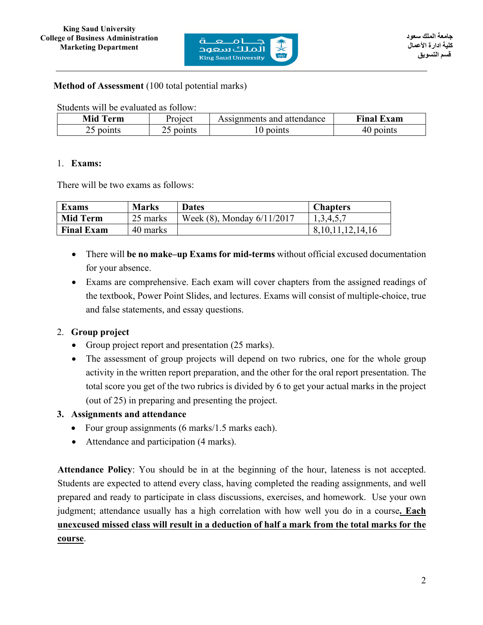

**Method of Assessment** (100 total potential marks)

Students will be evaluated as follow:

| Mid T<br>erm  | Project | Assignments and attendance | <b>Final</b><br>Exam |
|---------------|---------|----------------------------|----------------------|
| points<br>ر _ | points  | points                     | points<br>41         |

### 1. **Exams:**

There will be two exams as follows:

| <b>Exams</b>      | <b>Marks</b> | Dates                      | Chapters     |
|-------------------|--------------|----------------------------|--------------|
| <b>Mid Term</b>   | 25 marks     | Week (8), Monday 6/11/2017 | 1.3.4.5.7    |
| <b>Final Exam</b> | 40 marks     |                            | ,11,12,14,16 |

- There will **be no make–up Exams for mid-terms** without official excused documentation for your absence.
- Exams are comprehensive. Each exam will cover chapters from the assigned readings of the textbook, Power Point Slides, and lectures. Exams will consist of multiple-choice, true and false statements, and essay questions.

# 2. **Group project**

- Group project report and presentation (25 marks).
- The assessment of group projects will depend on two rubrics, one for the whole group activity in the written report preparation, and the other for the oral report presentation. The total score you get of the two rubrics is divided by 6 to get your actual marks in the project (out of 25) in preparing and presenting the project.

### **3. Assignments and attendance**

- Four group assignments (6 marks/1.5 marks each).
- Attendance and participation (4 marks).

**Attendance Policy**: You should be in at the beginning of the hour, lateness is not accepted. Students are expected to attend every class, having completed the reading assignments, and well prepared and ready to participate in class discussions, exercises, and homework. Use your own judgment; attendance usually has a high correlation with how well you do in a course**. Each unexcused missed class will result in a deduction of half a mark from the total marks for the course**.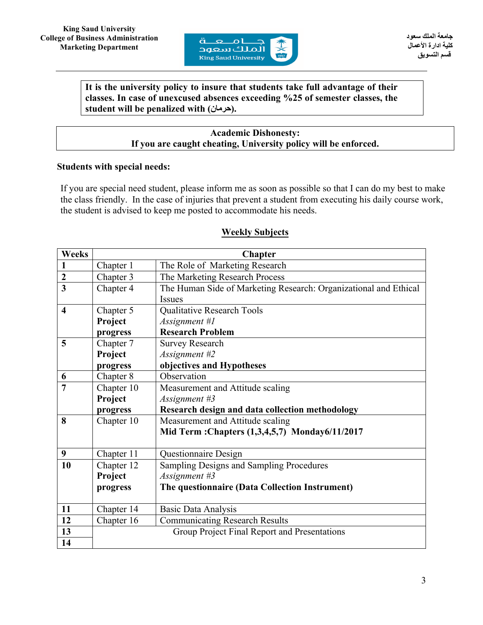

### **It is the university policy to insure that students take full advantage of their classes. In case of unexcused absences exceeding %25 of semester classes, the student will be penalized with (حرمان(.**

### **Academic Dishonesty: If you are caught cheating, University policy will be enforced.**

### **Students with special needs:**

If you are special need student, please inform me as soon as possible so that I can do my best to make the class friendly. In the case of injuries that prevent a student from executing his daily course work, the student is advised to keep me posted to accommodate his needs.

| Weeks                   | <b>Chapter</b> |                                                                  |  |  |  |
|-------------------------|----------------|------------------------------------------------------------------|--|--|--|
| $\mathbf{1}$            | Chapter 1      | The Role of Marketing Research                                   |  |  |  |
| $\overline{2}$          | Chapter 3      | The Marketing Research Process                                   |  |  |  |
| $\overline{\mathbf{3}}$ | Chapter 4      | The Human Side of Marketing Research: Organizational and Ethical |  |  |  |
|                         |                | <b>Issues</b>                                                    |  |  |  |
| $\overline{\mathbf{4}}$ | Chapter 5      | Qualitative Research Tools                                       |  |  |  |
|                         | Project        | Assignment #1                                                    |  |  |  |
|                         | progress       | <b>Research Problem</b>                                          |  |  |  |
| 5                       | Chapter 7      | <b>Survey Research</b>                                           |  |  |  |
|                         | Project        | Assignment #2                                                    |  |  |  |
|                         | progress       | objectives and Hypotheses                                        |  |  |  |
| 6                       | Chapter 8      | Observation                                                      |  |  |  |
| $\overline{7}$          | Chapter 10     | Measurement and Attitude scaling                                 |  |  |  |
|                         | Project        | Assignment #3                                                    |  |  |  |
|                         | progress       | Research design and data collection methodology                  |  |  |  |
| 8                       | Chapter 10     | Measurement and Attitude scaling                                 |  |  |  |
|                         |                | Mid Term: Chapters (1,3,4,5,7) Monday6/11/2017                   |  |  |  |
|                         |                |                                                                  |  |  |  |
| 9                       | Chapter 11     | Questionnaire Design                                             |  |  |  |
| 10                      | Chapter 12     | Sampling Designs and Sampling Procedures                         |  |  |  |
|                         | Project        | Assignment #3                                                    |  |  |  |
|                         | progress       | The questionnaire (Data Collection Instrument)                   |  |  |  |
|                         |                |                                                                  |  |  |  |
| 11                      | Chapter 14     | Basic Data Analysis                                              |  |  |  |
| 12                      | Chapter 16     | <b>Communicating Research Results</b>                            |  |  |  |
| 13                      |                | Group Project Final Report and Presentations                     |  |  |  |
| 14                      |                |                                                                  |  |  |  |

### **Weekly Subjects**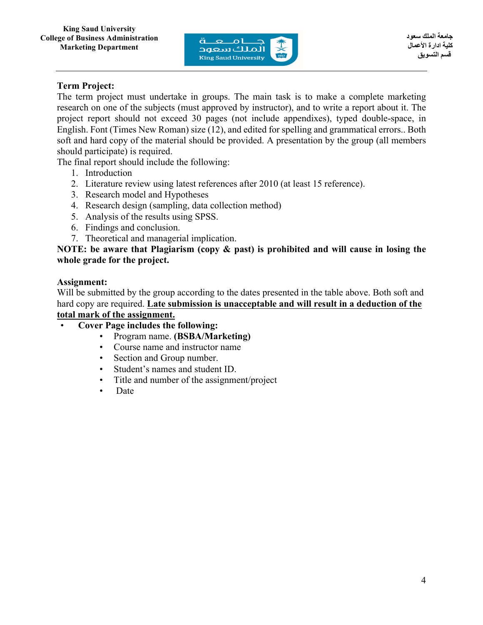

# **Term Project:**

The term project must undertake in groups. The main task is to make a complete marketing research on one of the subjects (must approved by instructor), and to write a report about it. The project report should not exceed 30 pages (not include appendixes), typed double-space, in English. Font (Times New Roman) size (12), and edited for spelling and grammatical errors.. Both soft and hard copy of the material should be provided. A presentation by the group (all members should participate) is required.

The final report should include the following:

- 1. Introduction
- 2. Literature review using latest references after 2010 (at least 15 reference).
- 3. Research model and Hypotheses
- 4. Research design (sampling, data collection method)
- 5. Analysis of the results using SPSS.
- 6. Findings and conclusion.
- 7. Theoretical and managerial implication.

**NOTE: be aware that Plagiarism (copy & past) is prohibited and will cause in losing the whole grade for the project.**

# **Assignment:**

Will be submitted by the group according to the dates presented in the table above. Both soft and hard copy are required. **Late submission is unacceptable and will result in a deduction of the total mark of the assignment.**

# • **Cover Page includes the following:**

- Program name. **(BSBA/Marketing)**
- Course name and instructor name
- Section and Group number.
- Student's names and student ID.
- Title and number of the assignment/project
- Date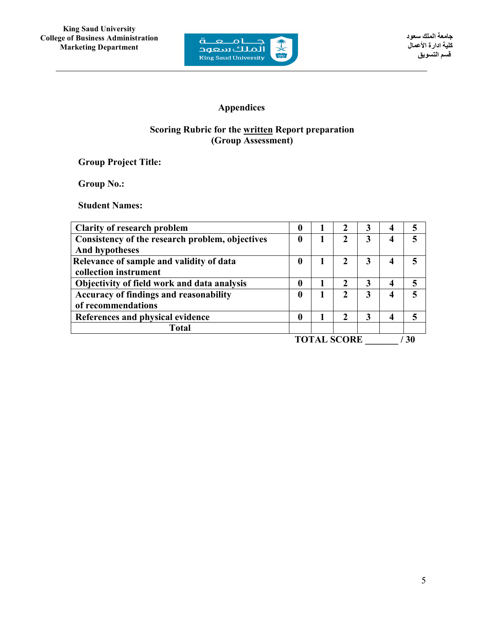

# **Appendices**

# **Scoring Rubric for the written Report preparation (Group Assessment)**

**Group Project Title:** 

**Group No.:** 

**Student Names:** 

| <b>Clarity of research problem</b>              | O               |  |                  | 3 |   |    |
|-------------------------------------------------|-----------------|--|------------------|---|---|----|
| Consistency of the research problem, objectives | 0               |  | 2                | 3 |   |    |
| <b>And hypotheses</b>                           |                 |  |                  |   |   |    |
| Relevance of sample and validity of data        | 0               |  | 2                | 3 |   |    |
| collection instrument                           |                 |  |                  |   |   |    |
| Objectivity of field work and data analysis     | 0               |  | 2                | 3 | 4 |    |
| Accuracy of findings and reasonability          |                 |  | 2                | 3 | 4 |    |
| of recommendations                              |                 |  |                  |   |   |    |
| References and physical evidence                | 0               |  | $\boldsymbol{2}$ | 3 | 4 |    |
| <b>Total</b>                                    |                 |  |                  |   |   |    |
|                                                 | CCDDE<br>TOT AT |  |                  |   |   | 20 |

**TOTAL SCORE \_\_\_\_\_\_\_ / 30**